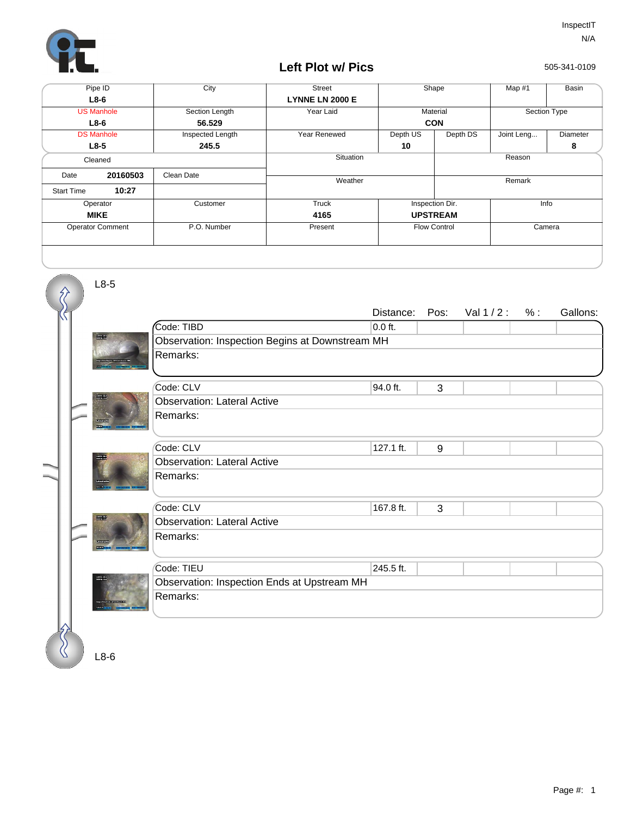

## **Left Plot w/ Pics**

505-341-0109

|                   | Pipe ID                 | City             | <b>Street</b>          |                 | Shape                         | Map #1     | Basin           |
|-------------------|-------------------------|------------------|------------------------|-----------------|-------------------------------|------------|-----------------|
|                   | $L8-6$                  |                  | <b>LYNNE LN 2000 E</b> |                 |                               |            |                 |
|                   | <b>US Manhole</b>       | Section Length   | Year Laid              |                 | Material                      |            | Section Type    |
|                   | $L8-6$                  | 56.529           |                        |                 | <b>CON</b>                    |            |                 |
| <b>DS Manhole</b> |                         | Inspected Length | Year Renewed           | Depth US        | Depth DS                      | Joint Leng | <b>Diameter</b> |
|                   | $L8-5$                  | 245.5            |                        | 10              |                               |            | 8               |
|                   | Cleaned                 |                  | Situation              | Reason          |                               |            |                 |
| Date              | 20160503                | Clean Date       | Weather                |                 | Remark                        |            |                 |
| <b>Start Time</b> | 10:27                   |                  |                        |                 |                               |            |                 |
| Operator          |                         | Customer         | Truck                  | Inspection Dir. |                               | Info       |                 |
|                   | <b>MIKE</b>             |                  | 4165                   | <b>UPSTREAM</b> |                               |            |                 |
|                   | <b>Operator Comment</b> | P.O. Number      | Present                |                 | Camera<br><b>Flow Control</b> |            |                 |
|                   |                         |                  |                        |                 |                               |            |                 |

|  |  |               |                                                 | Distance: | Pos: | Val $1/2$ : | $%$ : | Gallons: |
|--|--|---------------|-------------------------------------------------|-----------|------|-------------|-------|----------|
|  |  |               | Code: TIBD                                      | 0.0 ft.   |      |             |       |          |
|  |  | <b>TORIAL</b> | Observation: Inspection Begins at Downstream MH |           |      |             |       |          |
|  |  |               | Remarks:                                        |           |      |             |       |          |
|  |  |               | Code: CLV                                       | 94.0 ft.  | 3    |             |       |          |
|  |  |               | <b>Observation: Lateral Active</b>              |           |      |             |       |          |
|  |  |               | Remarks:                                        |           |      |             |       |          |
|  |  |               |                                                 |           |      |             |       |          |
|  |  |               | Code: CLV                                       | 127.1 ft. | 9    |             |       |          |
|  |  |               | <b>Observation: Lateral Active</b>              |           |      |             |       |          |
|  |  |               | Remarks:                                        |           |      |             |       |          |
|  |  |               | Code: CLV                                       | 167.8 ft. | 3    |             |       |          |
|  |  |               | <b>Observation: Lateral Active</b>              |           |      |             |       |          |
|  |  |               | Remarks:                                        |           |      |             |       |          |
|  |  |               | Code: TIEU                                      | 245.5 ft. |      |             |       |          |
|  |  |               | Observation: Inspection Ends at Upstream MH     |           |      |             |       |          |
|  |  |               | Remarks:                                        |           |      |             |       |          |
|  |  |               |                                                 |           |      |             |       |          |
|  |  |               |                                                 |           |      |             |       |          |
|  |  | ⊥8-6          |                                                 |           |      |             |       |          |

L8-6

L8-5